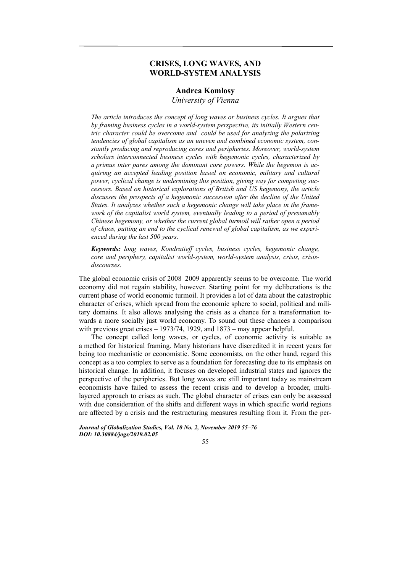# **CRISES, LONG WAVES, AND WORLD-SYSTEM ANALYSIS**

## **Andrea Komlosy**

*University of Vienna* 

*The article introduces the concept of long waves or business cycles. It argues that by framing business cycles in a world-system perspective, its initially Western centric character could be overcome and could be used for analyzing the polarizing tendencies of global capitalism as an uneven and combined economic system, constantly producing and reproducing cores and peripheries. Moreover, world-system scholars interconnected business cycles with hegemonic cycles, characterized by a primus inter pares among the dominant core powers. While the hegemon is acquiring an accepted leading position based on economic, military and cultural power, cyclical change is undermining this position, giving way for competing successors. Based on historical explorations of British and US hegemony, the article discusses the prospects of a hegemonic succession after the decline of the United States. It analyzes whether such a hegemonic change will take place in the framework of the capitalist world system, eventually leading to a period of presumably Chinese hegemony, or whether the current global turmoil will rather open a period of chaos, putting an end to the cyclical renewal of global capitalism, as we experienced during the last 500 years.* 

*Keywords: long waves, Kondratieff cycles, business cycles, hegemonic change, core and periphery, capitalist world-system, world-system analysis, crisis, crisisdiscourses.* 

The global economic crisis of 2008–2009 apparently seems to be overcome. The world economy did not regain stability, however. Starting point for my deliberations is the current phase of world economic turmoil. It provides a lot of data about the catastrophic character of crises, which spread from the economic sphere to social, political and military domains. It also allows analysing the crisis as a chance for a transformation towards a more socially just world economy. To sound out these chances a comparison with previous great crises – 1973/74, 1929, and 1873 – may appear helpful.

The concept called long waves, or cycles, of economic activity is suitable as a method for historical framing. Many historians have discredited it in recent years for being too mechanistic or economistic. Some economists, on the other hand, regard this concept as a too complex to serve as a foundation for forecasting due to its emphasis on historical change. In addition, it focuses on developed industrial states and ignores the perspective of the peripheries. But long waves are still important today as mainstream economists have failed to assess the recent crisis and to develop a broader, multilayered approach to crises as such. The global character of crises can only be assessed with due consideration of the shifts and different ways in which specific world regions are affected by a crisis and the restructuring measures resulting from it. From the per-

*Journal of Globalization Studies, Vol. 10 No. 2, November 2019 55–76 DOI: 10.30884/jogs/2019.02.05* 

55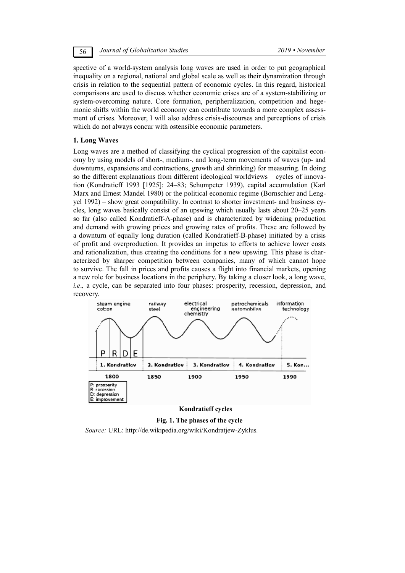56 *Journal of Globalization Studies 2019 • November* 

spective of a world-system analysis long waves are used in order to put geographical inequality on a regional, national and global scale as well as their dynamization through crisis in relation to the sequential pattern of economic cycles. In this regard, historical comparisons are used to discuss whether economic crises are of a system-stabilizing or system-overcoming nature. Core formation, peripheralization, competition and hegemonic shifts within the world economy can contribute towards a more complex assessment of crises. Moreover, I will also address crisis-discourses and perceptions of crisis which do not always concur with ostensible economic parameters.

### **1. Long Waves**

Long waves are a method of classifying the cyclical progression of the capitalist economy by using models of short-, medium-, and long-term movements of waves (up- and downturns, expansions and contractions, growth and shrinking) for measuring. In doing so the different explanations from different ideological worldviews – cycles of innovation (Kondratieff 1993 [1925]: 24–83; Schumpeter 1939), capital accumulation (Karl Marx and Ernest Mandel 1980) or the political economic regime (Bornschier and Lengyel 1992) – show great compatibility. In contrast to shorter investment- and business cycles, long waves basically consist of an upswing which usually lasts about 20–25 years so far (also called Kondratieff-A-phase) and is characterized by widening production and demand with growing prices and growing rates of profits. These are followed by a downturn of equally long duration (called Kondratieff-B-phase) initiated by a crisis of profit and overproduction. It provides an impetus to efforts to achieve lower costs and rationalization, thus creating the conditions for a new upswing. This phase is characterized by sharper competition between companies, many of which cannot hope to survive. The fall in prices and profits causes a flight into financial markets, opening a new role for business locations in the periphery. By taking a closer look, a long wave, *i.e.*, a cycle, can be separated into four phases: prosperity, recession, depression, and recovery.



## **Kondratieff cycles**

**Fig. 1. The phases of the cycle**  *Source:* URL: http://de.wikipedia.org/wiki/Kondratjew-Zyklus*.*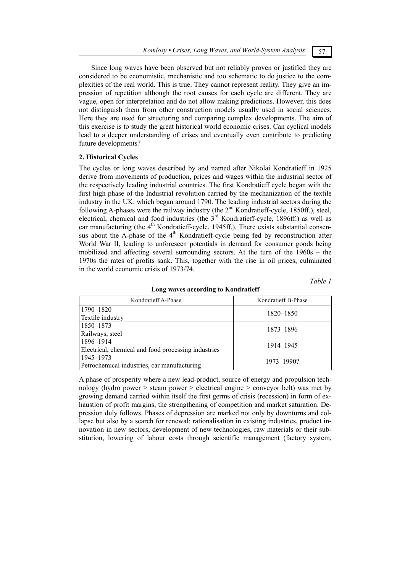Since long waves have been observed but not reliably proven or justified they are considered to be economistic, mechanistic and too schematic to do justice to the complexities of the real world. This is true. They cannot represent reality. They give an impression of repetition although the root causes for each cycle are different. They are vague, open for interpretation and do not allow making predictions. However, this does not distinguish them from other construction models usually used in social sciences. Here they are used for structuring and comparing complex developments. The aim of this exercise is to study the great historical world economic crises. Can cyclical models lead to a deeper understanding of crises and eventually even contribute to predicting future developments?

## **2. Historical Cycles**

The cycles or long waves described by and named after Nikolai Kondratieff in 1925 derive from movements of production, prices and wages within the industrial sector of the respectively leading industrial countries. The first Kondratieff cycle began with the first high phase of the Industrial revolution carried by the mechanization of the textile industry in the UK, which began around 1790. The leading industrial sectors during the following A-phases were the railway industry (the 2<sup>nd</sup> Kondratieff-cycle, 1850ff.), steel, electrical, chemical and food industries (the 3<sup>rd</sup> Kondratieff-cycle, 1896ff.) as well as car manufacturing (the  $4<sup>th</sup>$  Kondratieff-cycle, 1945ff.). There exists substantial consensus about the A-phase of the  $4<sup>th</sup>$  Kondratieff-cycle being fed by reconstruction after World War II, leading to unforeseen potentials in demand for consumer goods being mobilized and affecting several surrounding sectors. At the turn of the 1960s – the 1970s the rates of profits sank. This, together with the rise in oil prices, culminated in the world economic crisis of 1973/74.

*Table 1* 

| Kondratieff A-Phase                                 | Kondratieff B-Phase |  |  |
|-----------------------------------------------------|---------------------|--|--|
| 1790-1820                                           | 1820-1850           |  |  |
| Textile industry                                    |                     |  |  |
| 1850-1873                                           | 1873-1896           |  |  |
| Railways, steel                                     |                     |  |  |
| 1896-1914                                           | 1914–1945           |  |  |
| Electrical, chemical and food processing industries |                     |  |  |
| 1945–1973                                           | 1973-1990?          |  |  |
| Petrochemical industries, car manufacturing         |                     |  |  |

#### **Long waves according to Kondratieff**

A phase of prosperity where a new lead-product, source of energy and propulsion technology (hydro power > steam power > electrical engine > conveyor belt) was met by growing demand carried within itself the first germs of crisis (recession) in form of exhaustion of profit margins, the strengthening of competition and market saturation. Depression duly follows. Phases of depression are marked not only by downturns and collapse but also by a search for renewal: rationalisation in existing industries, product innovation in new sectors, development of new technologies, raw materials or their substitution, lowering of labour costs through scientific management (factory system,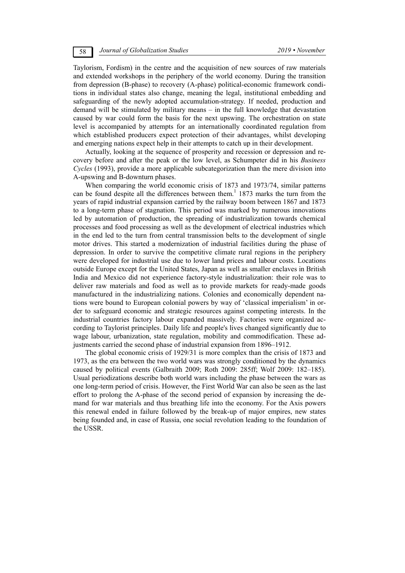Taylorism, Fordism) in the centre and the acquisition of new sources of raw materials and extended workshops in the periphery of the world economy. During the transition from depression (B-phase) to recovery (A-phase) political-economic framework conditions in individual states also change, meaning the legal, institutional embedding and safeguarding of the newly adopted accumulation-strategy. If needed, production and demand will be stimulated by military means – in the full knowledge that devastation caused by war could form the basis for the next upswing. The orchestration on state level is accompanied by attempts for an internationally coordinated regulation from which established producers expect protection of their advantages, whilst developing and emerging nations expect help in their attempts to catch up in their development.

Actually, looking at the sequence of prosperity and recession or depression and recovery before and after the peak or the low level, as Schumpeter did in his *Business Cycles* (1993), provide a more applicable subcategorization than the mere division into A-upswing and B-downturn phases.

When comparing the world economic crisis of 1873 and 1973/74, similar patterns can be found despite all the differences between them.<sup>1</sup> 1873 marks the turn from the years of rapid industrial expansion carried by the railway boom between 1867 and 1873 to a long-term phase of stagnation. This period was marked by numerous innovations led by automation of production, the spreading of industrialization towards chemical processes and food processing as well as the development of electrical industries which in the end led to the turn from central transmission belts to the development of single motor drives. This started a modernization of industrial facilities during the phase of depression. In order to survive the competitive climate rural regions in the periphery were developed for industrial use due to lower land prices and labour costs. Locations outside Europe except for the United States, Japan as well as smaller enclaves in British India and Mexico did not experience factory-style industrialization: their role was to deliver raw materials and food as well as to provide markets for ready-made goods manufactured in the industrializing nations. Colonies and economically dependent nations were bound to European colonial powers by way of 'classical imperialism' in order to safeguard economic and strategic resources against competing interests. In the industrial countries factory labour expanded massively. Factories were organized according to Taylorist principles. Daily life and people's lives changed significantly due to wage labour, urbanization, state regulation, mobility and commodification. These adjustments carried the second phase of industrial expansion from 1896–1912.

The global economic crisis of 1929/31 is more complex than the crisis of 1873 and 1973, as the era between the two world wars was strongly conditioned by the dynamics caused by political events (Galbraith 2009; Roth 2009: 285ff; Wolf 2009: 182–185). Usual periodizations describe both world wars including the phase between the wars as one long-term period of crisis. However, the First World War can also be seen as the last effort to prolong the A-phase of the second period of expansion by increasing the demand for war materials and thus breathing life into the economy. For the Axis powers this renewal ended in failure followed by the break-up of major empires, new states being founded and, in case of Russia, one social revolution leading to the foundation of the USSR.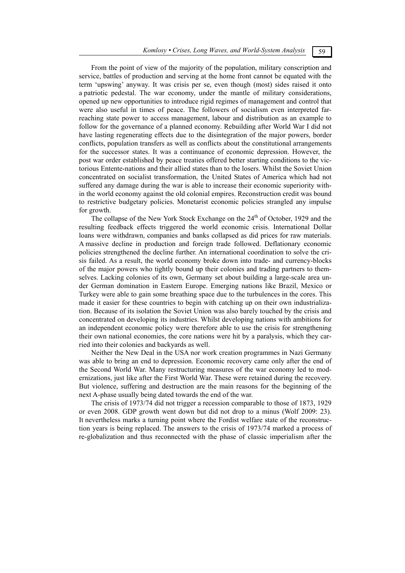From the point of view of the majority of the population, military conscription and service, battles of production and serving at the home front cannot be equated with the term 'upswing' anyway. It was crisis per se, even though (most) sides raised it onto a patriotic pedestal. The war economy, under the mantle of military considerations, opened up new opportunities to introduce rigid regimes of management and control that were also useful in times of peace. The followers of socialism even interpreted farreaching state power to access management, labour and distribution as an example to follow for the governance of a planned economy. Rebuilding after World War I did not have lasting regenerating effects due to the disintegration of the major powers, border conflicts, population transfers as well as conflicts about the constitutional arrangements for the successor states. It was a continuance of economic depression. However, the post war order established by peace treaties offered better starting conditions to the victorious Entente-nations and their allied states than to the losers. Whilst the Soviet Union concentrated on socialist transformation, the United States of America which had not suffered any damage during the war is able to increase their economic superiority within the world economy against the old colonial empires. Reconstruction credit was bound to restrictive budgetary policies. Monetarist economic policies strangled any impulse for growth.

The collapse of the New York Stock Exchange on the  $24<sup>th</sup>$  of October, 1929 and the resulting feedback effects triggered the world economic crisis. International Dollar loans were withdrawn, companies and banks collapsed as did prices for raw materials. A massive decline in production and foreign trade followed. Deflationary economic policies strengthened the decline further. An international coordination to solve the crisis failed. As a result, the world economy broke down into trade- and currency-blocks of the major powers who tightly bound up their colonies and trading partners to themselves. Lacking colonies of its own, Germany set about building a large-scale area under German domination in Eastern Europe. Emerging nations like Brazil, Mexico or Turkey were able to gain some breathing space due to the turbulences in the cores. This made it easier for these countries to begin with catching up on their own industrialization. Because of its isolation the Soviet Union was also barely touched by the crisis and concentrated on developing its industries. Whilst developing nations with ambitions for an independent economic policy were therefore able to use the crisis for strengthening their own national economies, the core nations were hit by a paralysis, which they carried into their colonies and backyards as well.

Neither the New Deal in the USA nor work creation programmes in Nazi Germany was able to bring an end to depression. Economic recovery came only after the end of the Second World War. Many restructuring measures of the war economy led to modernizations, just like after the First World War. These were retained during the recovery. But violence, suffering and destruction are the main reasons for the beginning of the next A-phase usually being dated towards the end of the war.

The crisis of 1973/74 did not trigger a recession comparable to those of 1873, 1929 or even 2008. GDP growth went down but did not drop to a minus (Wolf 2009: 23). It nevertheless marks a turning point where the Fordist welfare state of the reconstruction years is being replaced. The answers to the crisis of 1973/74 marked a process of re-globalization and thus reconnected with the phase of classic imperialism after the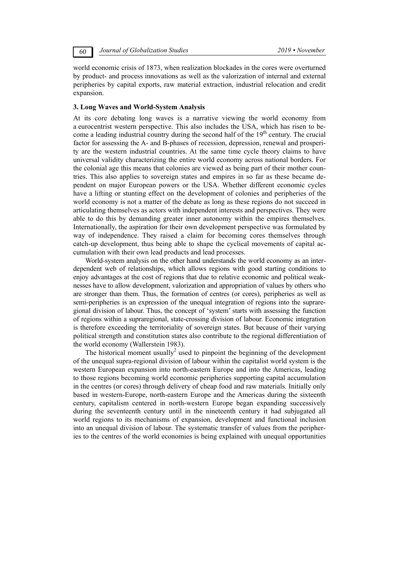world economic crisis of 1873, when realization blockades in the cores were overturned by product- and process innovations as well as the valorization of internal and external peripheries by capital exports, raw material extraction, industrial relocation and credit expansion.

### **3. Long Waves and World-System Analysis**

At its core debating long waves is a narrative viewing the world economy from a eurocentrist western perspective. This also includes the USA, which has risen to become a leading industrial country during the second half of the 19<sup>th</sup> century. The crucial factor for assessing the A- and B-phases of recession, depression, renewal and prosperity are the western industrial countries. At the same time cycle theory claims to have universal validity characterizing the entire world economy across national borders. For the colonial age this means that colonies are viewed as being part of their mother countries. This also applies to sovereign states and empires in so far as these became dependent on major European powers or the USA. Whether different economic cycles have a lifting or stunting effect on the development of colonies and peripheries of the world economy is not a matter of the debate as long as these regions do not succeed in articulating themselves as actors with independent interests and perspectives. They were able to do this by demanding greater inner autonomy within the empires themselves. Internationally, the aspiration for their own development perspective was formulated by way of independence. They raised a claim for becoming cores themselves through catch-up development, thus being able to shape the cyclical movements of capital accumulation with their own lead products and lead processes.

World-system analysis on the other hand understands the world economy as an interdependent web of relationships, which allows regions with good starting conditions to enjoy advantages at the cost of regions that due to relative economic and political weaknesses have to allow development, valorization and appropriation of values by others who are stronger than them. Thus, the formation of centres (or cores), peripheries as well as semi-peripheries is an expression of the unequal integration of regions into the supraregional division of labour. Thus, the concept of 'system' starts with assessing the function of regions within a supraregional, state-crossing division of labour. Economic integration is therefore exceeding the territoriality of sovereign states. But because of their varying political strength and constitution states also contribute to the regional differentiation of the world economy (Wallerstein 1983).

The historical moment usually<sup>2</sup> used to pinpoint the beginning of the development of the unequal supra-regional division of labour within the capitalist world system is the western European expansion into north-eastern Europe and into the Americas, leading to those regions becoming world economic peripheries supporting capital accumulation in the centres (or cores) through delivery of cheap food and raw materials. Initially only based in western-Europe, north-eastern Europe and the Americas during the sixteenth century, capitalism centered in north-western Europe began expanding successively during the seventeenth century until in the nineteenth century it had subjugated all world regions to its mechanisms of expansion, development and functional inclusion into an unequal division of labour. The systematic transfer of values from the peripheries to the centres of the world economies is being explained with unequal opportunities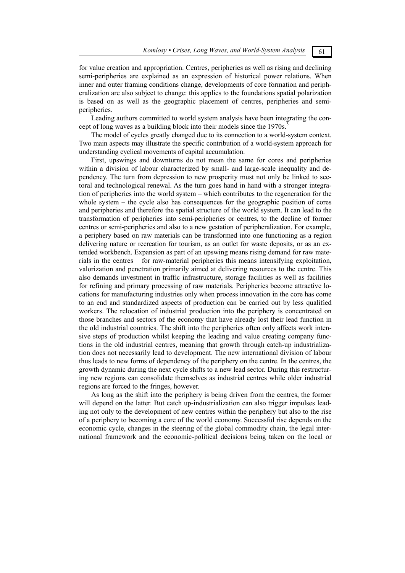for value creation and appropriation. Centres, peripheries as well as rising and declining semi-peripheries are explained as an expression of historical power relations. When inner and outer framing conditions change, developments of core formation and peripheralization are also subject to change: this applies to the foundations spatial polarization is based on as well as the geographic placement of centres, peripheries and semiperipheries.

Leading authors committed to world system analysis have been integrating the concept of long waves as a building block into their models since the 1970s.

The model of cycles greatly changed due to its connection to a world-system context. Two main aspects may illustrate the specific contribution of a world-system approach for understanding cyclical movements of capital accumulation.

First, upswings and downturns do not mean the same for cores and peripheries within a division of labour characterized by small- and large-scale inequality and dependency. The turn from depression to new prosperity must not only be linked to sectoral and technological renewal. As the turn goes hand in hand with a stronger integration of peripheries into the world system – which contributes to the regeneration for the whole system – the cycle also has consequences for the geographic position of cores and peripheries and therefore the spatial structure of the world system. It can lead to the transformation of peripheries into semi-peripheries or centres, to the decline of former centres or semi-peripheries and also to a new gestation of peripheralization. For example, a periphery based on raw materials can be transformed into one functioning as a region delivering nature or recreation for tourism, as an outlet for waste deposits, or as an extended workbench. Expansion as part of an upswing means rising demand for raw materials in the centres – for raw-material peripheries this means intensifying exploitation, valorization and penetration primarily aimed at delivering resources to the centre. This also demands investment in traffic infrastructure, storage facilities as well as facilities for refining and primary processing of raw materials. Peripheries become attractive locations for manufacturing industries only when process innovation in the core has come to an end and standardized aspects of production can be carried out by less qualified workers. The relocation of industrial production into the periphery is concentrated on those branches and sectors of the economy that have already lost their lead function in the old industrial countries. The shift into the peripheries often only affects work intensive steps of production whilst keeping the leading and value creating company functions in the old industrial centres, meaning that growth through catch-up industrialization does not necessarily lead to development. The new international division of labour thus leads to new forms of dependency of the periphery on the centre. In the centres, the growth dynamic during the next cycle shifts to a new lead sector. During this restructuring new regions can consolidate themselves as industrial centres while older industrial regions are forced to the fringes, however.

As long as the shift into the periphery is being driven from the centres, the former will depend on the latter. But catch up-industrialization can also trigger impulses leading not only to the development of new centres within the periphery but also to the rise of a periphery to becoming a core of the world economy. Successful rise depends on the economic cycle, changes in the steering of the global commodity chain, the legal international framework and the economic-political decisions being taken on the local or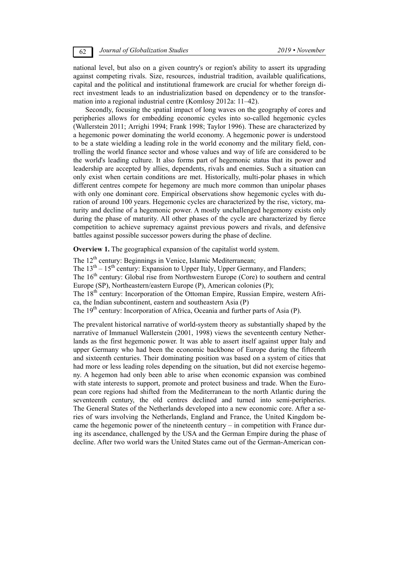national level, but also on a given country's or region's ability to assert its upgrading against competing rivals. Size, resources, industrial tradition, available qualifications, capital and the political and institutional framework are crucial for whether foreign direct investment leads to an industrialization based on dependency or to the transformation into a regional industrial centre (Komlosy 2012a: 11–42).

Secondly, focusing the spatial impact of long waves on the geography of cores and peripheries allows for embedding economic cycles into so-called hegemonic cycles (Wallerstein 2011; Arrighi 1994; Frank 1998; Taylor 1996). These are characterized by a hegemonic power dominating the world economy. A hegemonic power is understood to be a state wielding a leading role in the world economy and the military field, controlling the world finance sector and whose values and way of life are considered to be the world's leading culture. It also forms part of hegemonic status that its power and leadership are accepted by allies, dependents, rivals and enemies. Such a situation can only exist when certain conditions are met. Historically, multi-polar phases in which different centres compete for hegemony are much more common than unipolar phases with only one dominant core. Empirical observations show hegemonic cycles with duration of around 100 years. Hegemonic cycles are characterized by the rise, victory, maturity and decline of a hegemonic power. A mostly unchallenged hegemony exists only during the phase of maturity. All other phases of the cycle are characterized by fierce competition to achieve supremacy against previous powers and rivals, and defensive battles against possible successor powers during the phase of decline.

**Overview 1.** The geographical expansion of the capitalist world system.

The 12<sup>th</sup> century: Beginnings in Venice, Islamic Mediterranean; The  $13<sup>th</sup> - 15<sup>th</sup>$  century: Expansion to Upper Italy, Upper Germany, and Flanders; The 16<sup>th</sup> century: Global rise from Northwestern Europe (Core) to southern and central Europe (SP), Northeastern/eastern Europe (P), American colonies (P); The 18<sup>th</sup> century: Incorporation of the Ottoman Empire, Russian Empire, western Africa, the Indian subcontinent, eastern and southeastern Asia (P) The 19<sup>th</sup> century: Incorporation of Africa, Oceania and further parts of Asia (P).

The prevalent historical narrative of world-system theory as substantially shaped by the narrative of Immanuel Wallerstein (2001, 1998) views the seventeenth century Netherlands as the first hegemonic power. It was able to assert itself against upper Italy and upper Germany who had been the economic backbone of Europe during the fifteenth and sixteenth centuries. Their dominating position was based on a system of cities that had more or less leading roles depending on the situation, but did not exercise hegemony. A hegemon had only been able to arise when economic expansion was combined with state interests to support, promote and protect business and trade. When the European core regions had shifted from the Mediterranean to the north Atlantic during the seventeenth century, the old centres declined and turned into semi-peripheries. The General States of the Netherlands developed into a new economic core. After a series of wars involving the Netherlands, England and France, the United Kingdom became the hegemonic power of the nineteenth century  $-$  in competition with France during its ascendance, challenged by the USA and the German Empire during the phase of decline. After two world wars the United States came out of the German-American con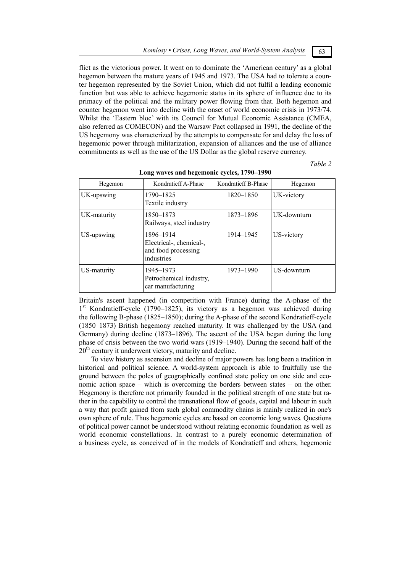flict as the victorious power. It went on to dominate the 'American century' as a global hegemon between the mature years of 1945 and 1973. The USA had to tolerate a counter hegemon represented by the Soviet Union, which did not fulfil a leading economic function but was able to achieve hegemonic status in its sphere of influence due to its primacy of the political and the military power flowing from that. Both hegemon and counter hegemon went into decline with the onset of world economic crisis in 1973/74. Whilst the 'Eastern bloc' with its Council for Mutual Economic Assistance (CMEA, also referred as COMECON) and the Warsaw Pact collapsed in 1991, the decline of the US hegemony was characterized by the attempts to compensate for and delay the loss of hegemonic power through militarization, expansion of alliances and the use of alliance commitments as well as the use of the US Dollar as the global reserve currency.

*Table 2* 

| Hegemon     | Kondratieff A-Phase                                                       | Kondratieff B-Phase | Hegemon     |
|-------------|---------------------------------------------------------------------------|---------------------|-------------|
| UK-upswing  | 1790-1825<br>Textile industry                                             | 1820-1850           | UK-victory  |
| UK-maturity | 1850–1873<br>Railways, steel industry                                     | 1873-1896           | UK-downturn |
| US-upswing  | 1896-1914<br>Electrical-, chemical-,<br>and food processing<br>industries | 1914–1945           | US-victory  |
| US-maturity | 1945-1973<br>Petrochemical industry,<br>car manufacturing                 | 1973-1990           | US-downturn |

**Long waves and hegemonic cycles, 1790–1990** 

Britain's ascent happened (in competition with France) during the A-phase of the  $1<sup>st</sup>$  Kondratieff-cycle (1790–1825), its victory as a hegemon was achieved during the following B-phase (1825–1850); during the A-phase of the second Kondratieff-cycle (1850–1873) British hegemony reached maturity. It was challenged by the USA (and Germany) during decline (1873–1896). The ascent of the USA began during the long phase of crisis between the two world wars (1919–1940). During the second half of the 20<sup>th</sup> century it underwent victory, maturity and decline.

To view history as ascension and decline of major powers has long been a tradition in historical and political science. A world-system approach is able to fruitfully use the ground between the poles of geographically confined state policy on one side and economic action space – which is overcoming the borders between states – on the other. Hegemony is therefore not primarily founded in the political strength of one state but rather in the capability to control the transnational flow of goods, capital and labour in such a way that profit gained from such global commodity chains is mainly realized in one's own sphere of rule. Thus hegemonic cycles are based on economic long waves. Questions of political power cannot be understood without relating economic foundation as well as world economic constellations. In contrast to a purely economic determination of a business cycle, as conceived of in the models of Kondratieff and others, hegemonic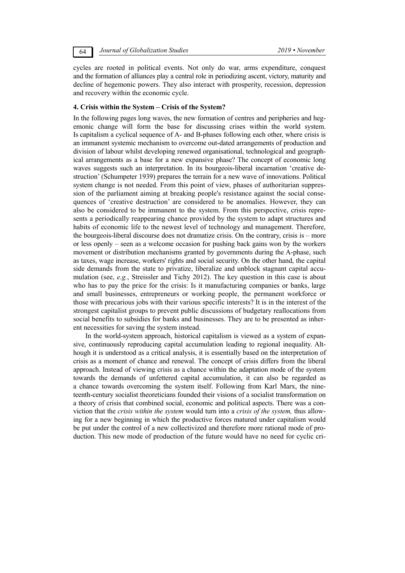64 *Journal of Globalization Studies 2019 • November* 

cycles are rooted in political events. Not only do war, arms expenditure, conquest and the formation of alliances play a central role in periodizing ascent, victory, maturity and decline of hegemonic powers. They also interact with prosperity, recession, depression and recovery within the economic cycle.

## **4. Crisis within the System – Crisis of the System?**

In the following pages long waves, the new formation of centres and peripheries and hegemonic change will form the base for discussing crises within the world system. Is capitalism a cyclical sequence of A- and B-phases following each other, where crisis is an immanent systemic mechanism to overcome out-dated arrangements of production and division of labour whilst developing renewed organisational, technological and geographical arrangements as a base for a new expansive phase? The concept of economic long waves suggests such an interpretation. In its bourgeois-liberal incarnation 'creative destruction' (Schumpeter 1939) prepares the terrain for a new wave of innovations. Political system change is not needed. From this point of view, phases of authoritarian suppression of the parliament aiming at breaking people's resistance against the social consequences of 'creative destruction' are considered to be anomalies. However, they can also be considered to be immanent to the system. From this perspective, crisis represents a periodically reappearing chance provided by the system to adapt structures and habits of economic life to the newest level of technology and management. Therefore, the bourgeois-liberal discourse does not dramatize crisis. On the contrary, crisis is – more or less openly – seen as a welcome occasion for pushing back gains won by the workers movement or distribution mechanisms granted by governments during the A-phase, such as taxes, wage increase, workers' rights and social security. On the other hand, the capital side demands from the state to privatize, liberalize and unblock stagnant capital accumulation (see, *e.g.*, Streissler and Tichy 2012). The key question in this case is about who has to pay the price for the crisis: Is it manufacturing companies or banks, large and small businesses, entrepreneurs or working people, the permanent workforce or those with precarious jobs with their various specific interests? It is in the interest of the strongest capitalist groups to prevent public discussions of budgetary reallocations from social benefits to subsidies for banks and businesses. They are to be presented as inherent necessities for saving the system instead.

In the world-system approach, historical capitalism is viewed as a system of expansive, continuously reproducing capital accumulation leading to regional inequality. Although it is understood as a critical analysis, it is essentially based on the interpretation of crisis as a moment of chance and renewal. The concept of crisis differs from the liberal approach. Instead of viewing crisis as a chance within the adaptation mode of the system towards the demands of unfettered capital accumulation, it can also be regarded as a chance towards overcoming the system itself. Following from Karl Marx, the nineteenth-century socialist theoreticians founded their visions of a socialist transformation on a theory of crisis that combined social, economic and political aspects. There was a conviction that the *crisis within the system* would turn into a *crisis of the system,* thus allowing for a new beginning in which the productive forces matured under capitalism would be put under the control of a new collectivized and therefore more rational mode of production. This new mode of production of the future would have no need for cyclic cri-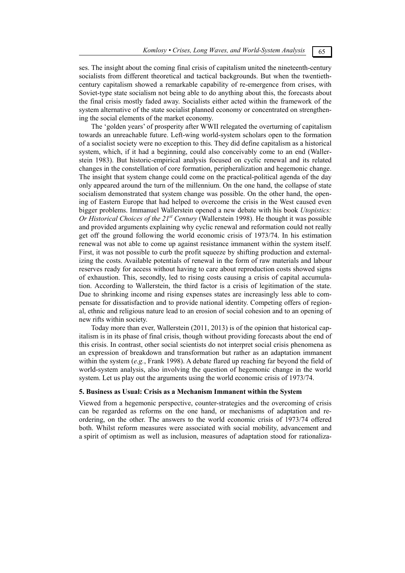ses. The insight about the coming final crisis of capitalism united the nineteenth-century socialists from different theoretical and tactical backgrounds. But when the twentiethcentury capitalism showed a remarkable capability of re-emergence from crises, with Soviet-type state socialism not being able to do anything about this, the forecasts about the final crisis mostly faded away. Socialists either acted within the framework of the system alternative of the state socialist planned economy or concentrated on strengthening the social elements of the market economy.

The 'golden years' of prosperity after WWII relegated the overturning of capitalism towards an unreachable future. Left-wing world-system scholars open to the formation of a socialist society were no exception to this. They did define capitalism as a historical system, which, if it had a beginning, could also conceivably come to an end (Wallerstein 1983). But historic-empirical analysis focused on cyclic renewal and its related changes in the constellation of core formation, peripheralization and hegemonic change. The insight that system change could come on the practical-political agenda of the day only appeared around the turn of the millennium. On the one hand, the collapse of state socialism demonstrated that system change was possible. On the other hand, the opening of Eastern Europe that had helped to overcome the crisis in the West caused even bigger problems. Immanuel Wallerstein opened a new debate with his book *Utopistics: Or Historical Choices of the 21<sup>st</sup> Century* (Wallerstein 1998). He thought it was possible and provided arguments explaining why cyclic renewal and reformation could not really get off the ground following the world economic crisis of 1973/74. In his estimation renewal was not able to come up against resistance immanent within the system itself. First, it was not possible to curb the profit squeeze by shifting production and externalizing the costs. Available potentials of renewal in the form of raw materials and labour reserves ready for access without having to care about reproduction costs showed signs of exhaustion. This, secondly, led to rising costs causing a crisis of capital accumulation. According to Wallerstein, the third factor is a crisis of legitimation of the state. Due to shrinking income and rising expenses states are increasingly less able to compensate for dissatisfaction and to provide national identity. Competing offers of regional, ethnic and religious nature lead to an erosion of social cohesion and to an opening of new rifts within society.

Today more than ever, Wallerstein (2011, 2013) is of the opinion that historical capitalism is in its phase of final crisis, though without providing forecasts about the end of this crisis. In contrast, other social scientists do not interpret social crisis phenomena as an expression of breakdown and transformation but rather as an adaptation immanent within the system (*e.g.*, Frank 1998). A debate flared up reaching far beyond the field of world-system analysis, also involving the question of hegemonic change in the world system. Let us play out the arguments using the world economic crisis of 1973/74.

## **5. Business as Usual: Crisis as a Mechanism Immanent within the System**

Viewed from a hegemonic perspective, counter-strategies and the overcoming of crisis can be regarded as reforms on the one hand, or mechanisms of adaptation and reordering, on the other. The answers to the world economic crisis of 1973/74 offered both. Whilst reform measures were associated with social mobility, advancement and a spirit of optimism as well as inclusion, measures of adaptation stood for rationaliza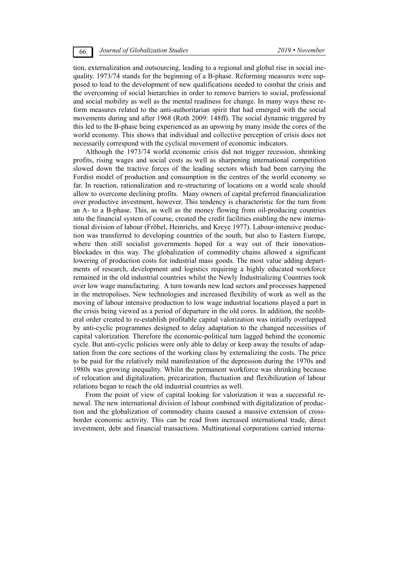tion, externalization and outsourcing, leading to a regional and global rise in social inequality. 1973/74 stands for the beginning of a B-phase. Reforming measures were supposed to lead to the development of new qualifications needed to combat the crisis and the overcoming of social hierarchies in order to remove barriers to social, professional and social mobility as well as the mental readiness for change. In many ways these reform measures related to the anti-authoritarian spirit that had emerged with the social movements during and after 1968 (Roth 2009: 148ff). The social dynamic triggered by this led to the B-phase being experienced as an upswing by many inside the cores of the world economy. This shows that individual and collective perception of crisis does not necessarily correspond with the cyclical movement of economic indicators.

Although the 1973/74 world economic crisis did not trigger recession, shrinking profits, rising wages and social costs as well as sharpening international competition slowed down the tractive forces of the leading sectors which had been carrying the Fordist model of production and consumption in the centres of the world economy so far. In reaction, rationalization and re-structuring of locations on a world scale should allow to overcome declining profits. Many owners of capital preferred financialization over productive investment, however. This tendency is characteristic for the turn from an A- to a B-phase. This, as well as the money flowing from oil-producing countries into the financial system of course, created the credit facilities enabling the new international division of labour (Fröbel, Heinrichs, and Kreye 1977). Labour-intensive production was transferred to developing countries of the south, but also to Eastern Europe, where then still socialist governments hoped for a way out of their innovationblockades in this way. The globalization of commodity chains allowed a significant lowering of production costs for industrial mass goods. The most value adding departments of research, development and logistics requiring a highly educated workforce remained in the old industrial countries whilst the Newly Industrializing Countries took over low wage manufacturing. A turn towards new lead sectors and processes happened in the metropolises. New technologies and increased flexibility of work as well as the moving of labour intensive production to low wage industrial locations played a part in the crisis being viewed as a period of departure in the old cores. In addition, the neoliberal order created to re-establish profitable capital valorization was initially overlapped by anti-cyclic programmes designed to delay adaptation to the changed necessities of capital valorization. Therefore the economic-political turn lagged behind the economic cycle. But anti-cyclic policies were only able to delay or keep away the results of adaptation from the core sections of the working class by externalizing the costs. The price to be paid for the relatively mild manifestation of the depression during the 1970s and 1980s was growing inequality. Whilst the permanent workforce was shrinking because of relocation and digitalization, precarization, fluctuation and flexibilization of labour relations began to reach the old industrial countries as well.

From the point of view of capital looking for valorization it was a successful renewal. The new international division of labour combined with digitalization of production and the globalization of commodity chains caused a massive extension of crossborder economic activity. This can be read from increased international trade, direct investment, debt and financial transactions. Multinational corporations carried interna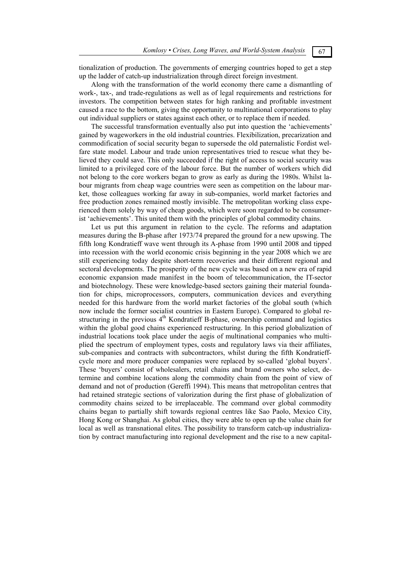tionalization of production. The governments of emerging countries hoped to get a step up the ladder of catch-up industrialization through direct foreign investment.

Along with the transformation of the world economy there came a dismantling of work-, tax-, and trade-regulations as well as of legal requirements and restrictions for investors. The competition between states for high ranking and profitable investment caused a race to the bottom, giving the opportunity to multinational corporations to play out individual suppliers or states against each other, or to replace them if needed.

The successful transformation eventually also put into question the 'achievements' gained by wageworkers in the old industrial countries. Flexibilization, precarization and commodification of social security began to supersede the old paternalistic Fordist welfare state model. Labour and trade union representatives tried to rescue what they believed they could save. This only succeeded if the right of access to social security was limited to a privileged core of the labour force. But the number of workers which did not belong to the core workers began to grow as early as during the 1980s. Whilst labour migrants from cheap wage countries were seen as competition on the labour market, those colleagues working far away in sub-companies, world market factories and free production zones remained mostly invisible. The metropolitan working class experienced them solely by way of cheap goods, which were soon regarded to be consumerist 'achievements'. This united them with the principles of global commodity chains.

Let us put this argument in relation to the cycle. The reforms and adaptation measures during the B-phase after 1973/74 prepared the ground for a new upswing. The fifth long Kondratieff wave went through its A-phase from 1990 until 2008 and tipped into recession with the world economic crisis beginning in the year 2008 which we are still experiencing today despite short-term recoveries and their different regional and sectoral developments. The prosperity of the new cycle was based on a new era of rapid economic expansion made manifest in the boom of telecommunication, the IT-sector and biotechnology. These were knowledge-based sectors gaining their material foundation for chips, microprocessors, computers, communication devices and everything needed for this hardware from the world market factories of the global south (which now include the former socialist countries in Eastern Europe). Compared to global restructuring in the previous 4<sup>th</sup> Kondratieff B-phase, ownership command and logistics within the global good chains experienced restructuring. In this period globalization of industrial locations took place under the aegis of multinational companies who multiplied the spectrum of employment types, costs and regulatory laws via their affiliates, sub-companies and contracts with subcontractors, whilst during the fifth Kondratieffcycle more and more producer companies were replaced by so-called 'global buyers'. These 'buyers' consist of wholesalers, retail chains and brand owners who select, determine and combine locations along the commodity chain from the point of view of demand and not of production (Gereffi 1994). This means that metropolitan centres that had retained strategic sections of valorization during the first phase of globalization of commodity chains seized to be irreplaceable. The command over global commodity chains began to partially shift towards regional centres like Sao Paolo, Mexico City, Hong Kong or Shanghai. As global cities, they were able to open up the value chain for local as well as transnational elites. The possibility to transform catch-up industrialization by contract manufacturing into regional development and the rise to a new capital-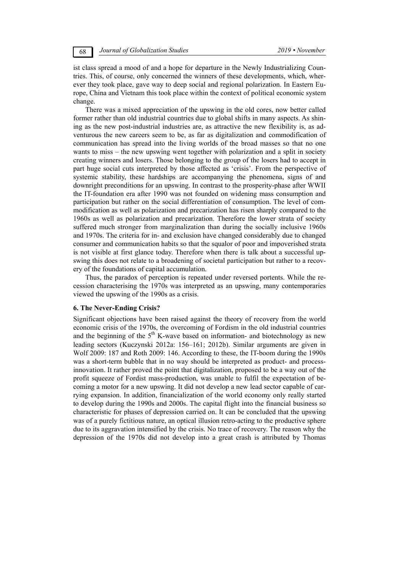ist class spread a mood of and a hope for departure in the Newly Industrializing Countries. This, of course, only concerned the winners of these developments, which, wherever they took place, gave way to deep social and regional polarization. In Eastern Europe, China and Vietnam this took place within the context of political economic system change.

There was a mixed appreciation of the upswing in the old cores, now better called former rather than old industrial countries due to global shifts in many aspects. As shining as the new post-industrial industries are, as attractive the new flexibility is, as adventurous the new careers seem to be, as far as digitalization and commodification of communication has spread into the living worlds of the broad masses so that no one wants to miss – the new upswing went together with polarization and a split in society creating winners and losers. Those belonging to the group of the losers had to accept in part huge social cuts interpreted by those affected as 'crisis'. From the perspective of systemic stability, these hardships are accompanying the phenomena, signs of and downright preconditions for an upswing. In contrast to the prosperity-phase after WWII the IT-foundation era after 1990 was not founded on widening mass consumption and participation but rather on the social differentiation of consumption. The level of commodification as well as polarization and precarization has risen sharply compared to the 1960s as well as polarization and precarization. Therefore the lower strata of society suffered much stronger from marginalization than during the socially inclusive 1960s and 1970s. The criteria for in- and exclusion have changed considerably due to changed consumer and communication habits so that the squalor of poor and impoverished strata is not visible at first glance today. Therefore when there is talk about a successful upswing this does not relate to a broadening of societal participation but rather to a recovery of the foundations of capital accumulation.

Thus, the paradox of perception is repeated under reversed portents. While the recession characterising the 1970s was interpreted as an upswing, many contemporaries viewed the upswing of the 1990s as a crisis.

## **6. The Never-Ending Crisis?**

Significant objections have been raised against the theory of recovery from the world economic crisis of the 1970s, the overcoming of Fordism in the old industrial countries and the beginning of the  $5<sup>th</sup>$  K-wave based on information- and biotechnology as new leading sectors (Kuczynski 2012a: 156–161; 2012b). Similar arguments are given in Wolf 2009: 187 and Roth 2009: 146. According to these, the IT-boom during the 1990s was a short-term bubble that in no way should be interpreted as product- and processinnovation. It rather proved the point that digitalization, proposed to be a way out of the profit squeeze of Fordist mass-production, was unable to fulfil the expectation of becoming a motor for a new upswing. It did not develop a new lead sector capable of carrying expansion. In addition, financialization of the world economy only really started to develop during the 1990s and 2000s. The capital flight into the financial business so characteristic for phases of depression carried on. It can be concluded that the upswing was of a purely fictitious nature, an optical illusion retro-acting to the productive sphere due to its aggravation intensified by the crisis. No trace of recovery. The reason why the depression of the 1970s did not develop into a great crash is attributed by Thomas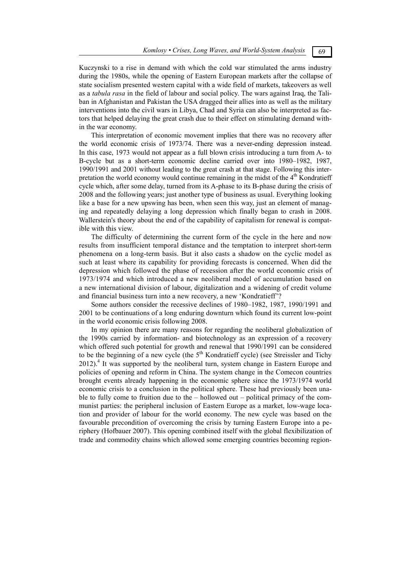Kuczynski to a rise in demand with which the cold war stimulated the arms industry during the 1980s, while the opening of Eastern European markets after the collapse of state socialism presented western capital with a wide field of markets, takeovers as well as a *tabula rasa* in the field of labour and social policy. The wars against Iraq, the Taliban in Afghanistan and Pakistan the USA dragged their allies into as well as the military interventions into the civil wars in Libya, Chad and Syria can also be interpreted as factors that helped delaying the great crash due to their effect on stimulating demand within the war economy.

This interpretation of economic movement implies that there was no recovery after the world economic crisis of 1973/74. There was a never-ending depression instead. In this case, 1973 would not appear as a full blown crisis introducing a turn from A- to B-cycle but as a short-term economic decline carried over into 1980–1982, 1987, 1990/1991 and 2001 without leading to the great crash at that stage. Following this interpretation the world economy would continue remaining in the midst of the  $4<sup>th</sup>$  Kondratieff cycle which, after some delay, turned from its A-phase to its B-phase during the crisis of 2008 and the following years; just another type of business as usual. Everything looking like a base for a new upswing has been, when seen this way, just an element of managing and repeatedly delaying a long depression which finally began to crash in 2008. Wallerstein's theory about the end of the capability of capitalism for renewal is compatible with this view.

The difficulty of determining the current form of the cycle in the here and now results from insufficient temporal distance and the temptation to interpret short-term phenomena on a long-term basis. But it also casts a shadow on the cyclic model as such at least where its capability for providing forecasts is concerned. When did the depression which followed the phase of recession after the world economic crisis of 1973/1974 and which introduced a new neoliberal model of accumulation based on a new international division of labour, digitalization and a widening of credit volume and financial business turn into a new recovery, a new 'Kondratieff'?

Some authors consider the recessive declines of 1980–1982, 1987, 1990/1991 and 2001 to be continuations of a long enduring downturn which found its current low-point in the world economic crisis following 2008.

In my opinion there are many reasons for regarding the neoliberal globalization of the 1990s carried by information- and biotechnology as an expression of a recovery which offered such potential for growth and renewal that 1990/1991 can be considered to be the beginning of a new cycle (the  $5<sup>th</sup>$  Kondratieff cycle) (see Streissler and Tichy 2012).<sup>4</sup> It was supported by the neoliberal turn, system change in Eastern Europe and policies of opening and reform in China. The system change in the Comecon countries brought events already happening in the economic sphere since the 1973/1974 world economic crisis to a conclusion in the political sphere. These had previously been unable to fully come to fruition due to the – hollowed out – political primacy of the communist parties: the peripheral inclusion of Eastern Europe as a market, low-wage location and provider of labour for the world economy. The new cycle was based on the favourable precondition of overcoming the crisis by turning Eastern Europe into a periphery (Hofbauer 2007). This opening combined itself with the global flexibilization of trade and commodity chains which allowed some emerging countries becoming region-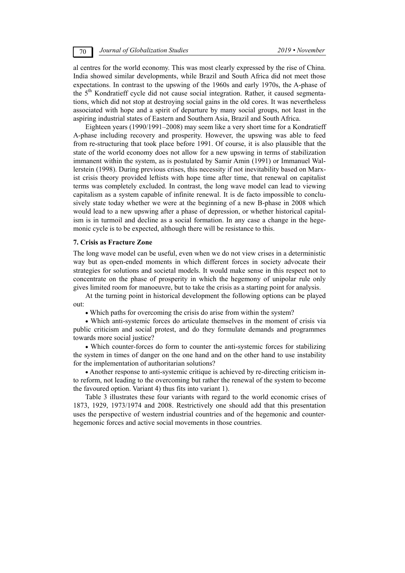al centres for the world economy. This was most clearly expressed by the rise of China. India showed similar developments, while Brazil and South Africa did not meet those expectations. In contrast to the upswing of the 1960s and early 1970s, the A-phase of the  $5<sup>th</sup>$  Kondratieff cycle did not cause social integration. Rather, it caused segmentations, which did not stop at destroying social gains in the old cores. It was nevertheless associated with hope and a spirit of departure by many social groups, not least in the aspiring industrial states of Eastern and Southern Asia, Brazil and South Africa.

Eighteen years (1990/1991–2008) may seem like a very short time for a Kondratieff A-phase including recovery and prosperity. However, the upswing was able to feed from re-structuring that took place before 1991. Of course, it is also plausible that the state of the world economy does not allow for a new upswing in terms of stabilization immanent within the system, as is postulated by Samir Amin (1991) or Immanuel Wallerstein (1998). During previous crises, this necessity if not inevitability based on Marxist crisis theory provided leftists with hope time after time, that renewal on capitalist terms was completely excluded. In contrast, the long wave model can lead to viewing capitalism as a system capable of infinite renewal. It is de facto impossible to conclusively state today whether we were at the beginning of a new B-phase in 2008 which would lead to a new upswing after a phase of depression, or whether historical capitalism is in turmoil and decline as a social formation. In any case a change in the hegemonic cycle is to be expected, although there will be resistance to this.

### **7. Crisis as Fracture Zone**

The long wave model can be useful, even when we do not view crises in a deterministic way but as open-ended moments in which different forces in society advocate their strategies for solutions and societal models. It would make sense in this respect not to concentrate on the phase of prosperity in which the hegemony of unipolar rule only gives limited room for manoeuvre, but to take the crisis as a starting point for analysis.

At the turning point in historical development the following options can be played out:

Which paths for overcoming the crisis do arise from within the system?

 Which anti-systemic forces do articulate themselves in the moment of crisis via public criticism and social protest, and do they formulate demands and programmes towards more social justice?

 Which counter-forces do form to counter the anti-systemic forces for stabilizing the system in times of danger on the one hand and on the other hand to use instability for the implementation of authoritarian solutions?

 Another response to anti-systemic critique is achieved by re-directing criticism into reform, not leading to the overcoming but rather the renewal of the system to become the favoured option. Variant 4) thus fits into variant 1).

Table 3 illustrates these four variants with regard to the world economic crises of 1873, 1929, 1973/1974 and 2008. Restrictively one should add that this presentation uses the perspective of western industrial countries and of the hegemonic and counterhegemonic forces and active social movements in those countries.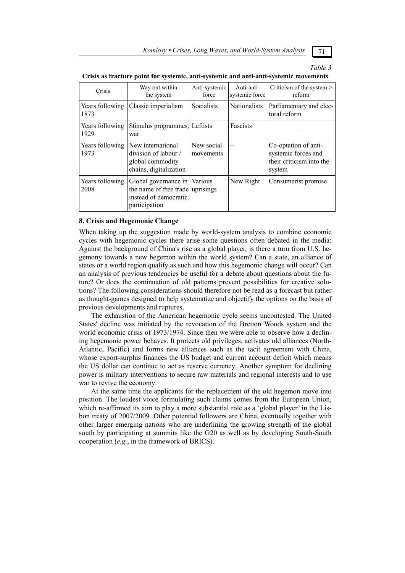*Komlosy • Crises, Long Waves, and World-System Analysis* 71

## *Table 3*

| Crisis                  | Way out within<br>the system                                                                               | Anti-systemic<br>force  | Anti-anti-<br>systemic force | Criticism of the system ><br>reform                                               |
|-------------------------|------------------------------------------------------------------------------------------------------------|-------------------------|------------------------------|-----------------------------------------------------------------------------------|
| Years following<br>1873 | Classic imperialism                                                                                        | Socialists              | <b>Nationalists</b>          | Parliamentary and elec-<br>toral reform                                           |
| Years following<br>1929 | Stimulus programmes, Leftists<br>war                                                                       |                         | Fascists                     |                                                                                   |
| Years following<br>1973 | New international<br>division of labour /<br>global commodity<br>chains, digitalization                    | New social<br>movements |                              | Co-optation of anti-<br>systemic forces and<br>their criticism into the<br>system |
| Years following<br>2008 | Global governance in Various<br>the name of free trade uprisings<br>instead of democratic<br>participation |                         | New Right                    | Consumerist promise                                                               |

#### **Crisis as fracture point for systemic, anti-systemic and anti-anti-systemic movements**

## **8. Crisis and Hegemonic Change**

When taking up the suggestion made by world-system analysis to combine economic cycles with hegemonic cycles there arise some questions often debated in the media: Against the background of China's rise as a global player, is there a turn from U.S. hegemony towards a new hegemon within the world system? Can a state, an alliance of states or a world region qualify as such and how this hegemonic change will occur? Can an analysis of previous tendencies be useful for a debate about questions about the future? Or does the continuation of old patterns prevent possibilities for creative solutions? The following considerations should therefore not be read as a forecast but rather as thought-games designed to help systematize and objectify the options on the basis of previous developments and ruptures.

The exhaustion of the American hegemonic cycle seems uncontested. The United States' decline was initiated by the revocation of the Bretton Woods system and the world economic crisis of 1973/1974. Since then we were able to observe how a declining hegemonic power behaves. It protects old privileges, activates old alliances (North-Atlantic, Pacific) and forms new alliances such as the tacit agreement with China, whose export-surplus finances the US budget and current account deficit which means the US dollar can continue to act as reserve currency. Another symptom for declining power is military interventions to secure raw materials and regional interests and to use war to revive the economy.

At the same time the applicants for the replacement of the old hegemon move into position. The loudest voice formulating such claims comes from the European Union, which re-affirmed its aim to play a more substantial role as a 'global player' in the Lisbon treaty of 2007/2009. Other potential followers are China, eventually together with other larger emerging nations who are underlining the growing strength of the global south by participating at summits like the G20 as well as by developing South-South cooperation (*e.g.*, in the framework of BRICS).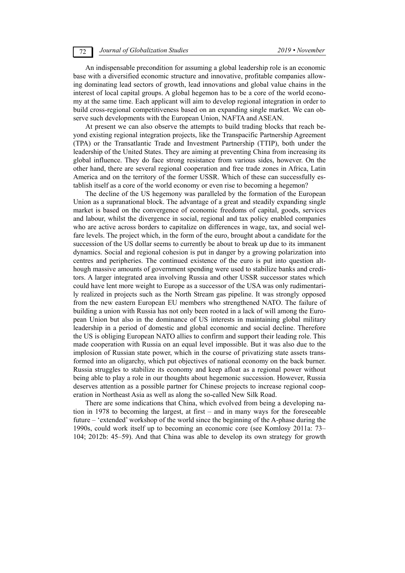An indispensable precondition for assuming a global leadership role is an economic base with a diversified economic structure and innovative, profitable companies allowing dominating lead sectors of growth, lead innovations and global value chains in the interest of local capital groups. A global hegemon has to be a core of the world economy at the same time. Each applicant will aim to develop regional integration in order to build cross-regional competitiveness based on an expanding single market. We can observe such developments with the European Union, NAFTA and ASEAN.

At present we can also observe the attempts to build trading blocks that reach beyond existing regional integration projects, like the Transpacific Partnership Agreement (TPA) or the Transatlantic Trade and Investment Partnership (TTIP), both under the leadership of the United States. They are aiming at preventing China from increasing its global influence. They do face strong resistance from various sides, however. On the other hand, there are several regional cooperation and free trade zones in Africa, Latin America and on the territory of the former USSR. Which of these can successfully establish itself as a core of the world economy or even rise to becoming a hegemon?

The decline of the US hegemony was paralleled by the formation of the European Union as a supranational block. The advantage of a great and steadily expanding single market is based on the convergence of economic freedoms of capital, goods, services and labour, whilst the divergence in social, regional and tax policy enabled companies who are active across borders to capitalize on differences in wage, tax, and social welfare levels. The project which, in the form of the euro, brought about a candidate for the succession of the US dollar seems to currently be about to break up due to its immanent dynamics. Social and regional cohesion is put in danger by a growing polarization into centres and peripheries. The continued existence of the euro is put into question although massive amounts of government spending were used to stabilize banks and creditors. A larger integrated area involving Russia and other USSR successor states which could have lent more weight to Europe as a successor of the USA was only rudimentarily realized in projects such as the North Stream gas pipeline. It was strongly opposed from the new eastern European EU members who strengthened NATO. The failure of building a union with Russia has not only been rooted in a lack of will among the European Union but also in the dominance of US interests in maintaining global military leadership in a period of domestic and global economic and social decline. Therefore the US is obliging European NATO allies to confirm and support their leading role. This made cooperation with Russia on an equal level impossible. But it was also due to the implosion of Russian state power, which in the course of privatizing state assets transformed into an oligarchy, which put objectives of national economy on the back burner. Russia struggles to stabilize its economy and keep afloat as a regional power without being able to play a role in our thoughts about hegemonic succession. However, Russia deserves attention as a possible partner for Chinese projects to increase regional cooperation in Northeast Asia as well as along the so-called New Silk Road.

There are some indications that China, which evolved from being a developing nation in 1978 to becoming the largest, at first – and in many ways for the foreseeable future – 'extended' workshop of the world since the beginning of the A-phase during the 1990s, could work itself up to becoming an economic core (see Komlosy 2011a: 73– 104; 2012b: 45–59). And that China was able to develop its own strategy for growth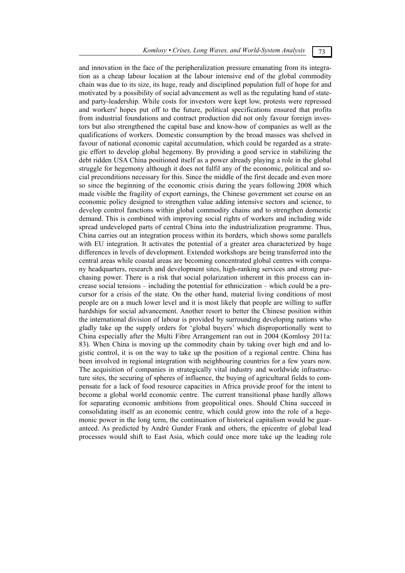and innovation in the face of the peripheralization pressure emanating from its integration as a cheap labour location at the labour intensive end of the global commodity chain was due to its size, its huge, ready and disciplined population full of hope for and motivated by a possibility of social advancement as well as the regulating hand of stateand party-leadership. While costs for investors were kept low, protests were repressed and workers' hopes put off to the future, political specifications ensured that profits from industrial foundations and contract production did not only favour foreign investors but also strengthened the capital base and know-how of companies as well as the qualifications of workers. Domestic consumption by the broad masses was shelved in favour of national economic capital accumulation, which could be regarded as a strategic effort to develop global hegemony. By providing a good service in stabilizing the debt ridden USA China positioned itself as a power already playing a role in the global struggle for hegemony although it does not fulfil any of the economic, political and social preconditions necessary for this. Since the middle of the first decade and even more so since the beginning of the economic crisis during the years following 2008 which made visible the fragility of export earnings, the Chinese government set course on an economic policy designed to strengthen value adding intensive sectors and science, to develop control functions within global commodity chains and to strengthen domestic demand. This is combined with improving social rights of workers and including wide spread undeveloped parts of central China into the industrialization programme. Thus, China carries out an integration process within its borders, which shows some parallels with EU integration. It activates the potential of a greater area characterized by huge differences in levels of development. Extended workshops are being transferred into the central areas while coastal areas are becoming concentrated global centres with company headquarters, research and development sites, high-ranking services and strong purchasing power. There is a risk that social polarization inherent in this process can increase social tensions – including the potential for ethnicization – which could be a precursor for a crisis of the state. On the other hand, material living conditions of most people are on a much lower level and it is most likely that people are willing to suffer hardships for social advancement. Another resort to better the Chinese position within the international division of labour is provided by surrounding developing nations who gladly take up the supply orders for 'global buyers' which disproportionally went to China especially after the Multi Fibre Arrangement ran out in 2004 (Komlosy 2011a: 83). When China is moving up the commodity chain by taking over high end and logistic control, it is on the way to take up the position of a regional centre. China has been involved in regional integration with neighbouring countries for a few years now. The acquisition of companies in strategically vital industry and worldwide infrastructure sites, the securing of spheres of influence, the buying of agricultural fields to compensate for a lack of food resource capacities in Africa provide proof for the intent to become a global world economic centre. The current transitional phase hardly allows for separating economic ambitions from geopolitical ones. Should China succeed in consolidating itself as an economic centre, which could grow into the role of a hegemonic power in the long term, the continuation of historical capitalism would be guaranteed. As predicted by André Gunder Frank and others, the epicentre of global lead processes would shift to East Asia, which could once more take up the leading role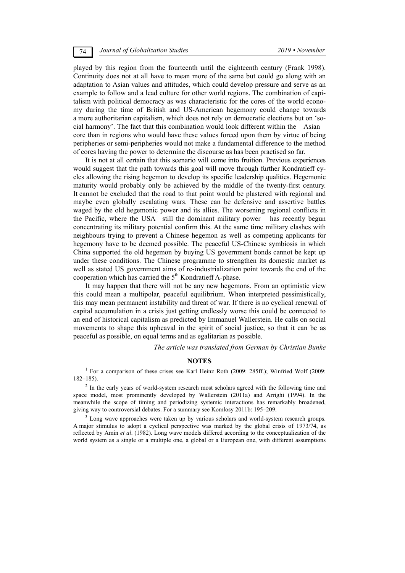played by this region from the fourteenth until the eighteenth century (Frank 1998). Continuity does not at all have to mean more of the same but could go along with an adaptation to Asian values and attitudes, which could develop pressure and serve as an example to follow and a lead culture for other world regions. The combination of capitalism with political democracy as was characteristic for the cores of the world economy during the time of British and US-American hegemony could change towards a more authoritarian capitalism, which does not rely on democratic elections but on 'social harmony'. The fact that this combination would look different within the – Asian – core than in regions who would have these values forced upon them by virtue of being peripheries or semi-peripheries would not make a fundamental difference to the method of cores having the power to determine the discourse as has been practised so far.

It is not at all certain that this scenario will come into fruition. Previous experiences would suggest that the path towards this goal will move through further Kondratieff cycles allowing the rising hegemon to develop its specific leadership qualities. Hegemonic maturity would probably only be achieved by the middle of the twenty-first century. It cannot be excluded that the road to that point would be plastered with regional and maybe even globally escalating wars. These can be defensive and assertive battles waged by the old hegemonic power and its allies. The worsening regional conflicts in the Pacific, where the USA – still the dominant military power – has recently begun concentrating its military potential confirm this. At the same time military clashes with neighbours trying to prevent a Chinese hegemon as well as competing applicants for hegemony have to be deemed possible. The peaceful US-Chinese symbiosis in which China supported the old hegemon by buying US government bonds cannot be kept up under these conditions. The Chinese programme to strengthen its domestic market as well as stated US government aims of re-industrialization point towards the end of the cooperation which has carried the  $5<sup>th</sup>$  Kondratieff A-phase.

It may happen that there will not be any new hegemons. From an optimistic view this could mean a multipolar, peaceful equilibrium. When interpreted pessimistically, this may mean permanent instability and threat of war. If there is no cyclical renewal of capital accumulation in a crisis just getting endlessly worse this could be connected to an end of historical capitalism as predicted by Immanuel Wallerstein. He calls on social movements to shape this upheaval in the spirit of social justice, so that it can be as peaceful as possible, on equal terms and as egalitarian as possible.

*The article was translated from German by Christian Bunke* 

## **NOTES**

<sup>1</sup> For a comparison of these crises see Karl Heinz Roth (2009: 285ff.); Winfried Wolf (2009: 182–185).

 $2$  In the early years of world-system research most scholars agreed with the following time and space model, most prominently developed by Wallerstein (2011a) and Arrighi (1994). In the meanwhile the scope of timing and periodizing systemic interactions has remarkably broadened, giving way to controversial debates. For a summary see Komlosy 2011b: 195–209.

<sup>3</sup> Long wave approaches were taken up by various scholars and world-system research groups. A major stimulus to adopt a cyclical perspective was marked by the global crisis of 1973/74, as reflected by Amin *et al*. (1982). Long wave models differed according to the conceptualization of the world system as a single or a multiple one, a global or a European one, with different assumptions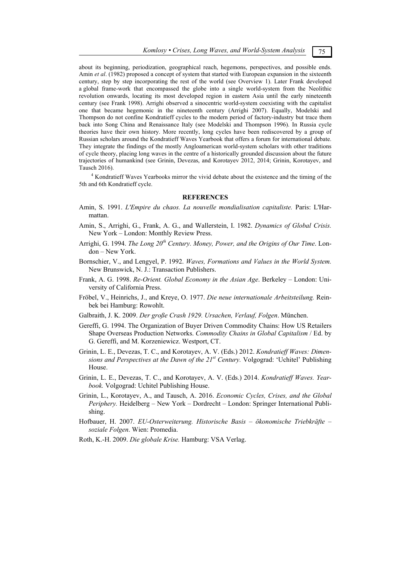about its beginning, periodization, geographical reach, hegemons, perspectives, and possible ends. Amin *et al*. (1982) proposed a concept of system that started with European expansion in the sixteenth century, step by step incorporating the rest of the world (see Overview 1). Later Frank developed a global frame-work that encompassed the globe into a single world-system from the Neolithic revolution onwards, locating its most developed region in eastern Asia until the early nineteenth century (see Frank 1998). Arrighi observed a sinocentric world-system coexisting with the capitalist one that became hegemonic in the nineteenth century (Arrighi 2007). Equally, Modelski and Thompson do not confine Kondratieff cycles to the modern period of factory-industry but trace them back into Song China and Renaissance Italy (see Modelski and Thompson 1996). In Russia cycle theories have their own history. More recently, long cycles have been rediscovered by a group of Russian scholars around the Kondratieff Waves Yearbook that offers a forum for international debate. They integrate the findings of the mostly Angloamerican world-system scholars with other traditions of cycle theory, placing long waves in the centre of a historically grounded discussion about the future trajectories of humankind (see Grinin, Devezas, and Korotayev 2012, 2014; Grinin, Korotayev, and Tausch 2016).

<sup>4</sup> Kondratieff Waves Yearbooks mirror the vivid debate about the existence and the timing of the 5th and 6th Kondratieff cycle.

## **REFERENCES**

- Amin, S. 1991. *L'Empire du chaos. La nouvelle mondialisation capitaliste.* Paris: L'Harmattan.
- Amin, S., Arrighi, G., Frank, A. G., and Wallerstein, I. 1982. *Dynamics of Global Crisis.* New York – London: Monthly Review Press.
- Arrighi, G. 1994. *The Long 20th Century. Money, Power, and the Origins of Our Time*. London – New York.
- Bornschier, V., and Lengyel, P. 1992. *Waves, Formations and Values in the World System.*  New Brunswick, N. J.: Transaction Publishers.
- Frank, A. G. 1998. *Re-Orient. Global Economy in the Asian Age*. Berkeley London: University of California Press.
- Fröbel, V., Heinrichs, J., and Kreye, O. 1977. *Die neue internationale Arbeitsteilung.* Reinbek bei Hamburg: Rowohlt.
- Galbraith, J. K. 2009. *Der große Crash 1929. Ursachen, Verlauf, Folgen*. München.
- Gereffi, G. 1994. The Organization of Buyer Driven Commodity Chains: How US Retailers Shape Overseas Production Networks. *Commodity Chains in Global Capitalism* / Ed. by G. Gereffi, and M. Korzeniewicz. Westport, CT.
- Grinin, L. E., Devezas, T. C., and Korotayev, A. V. (Eds.) 2012. *Kondratieff Waves: Dimensions and Perspectives at the Dawn of the 21st Century.* Volgograd: 'Uchitel' Publishing House.
- Grinin, L. E., Devezas, T. C., and Korotayev, A. V. (Eds.) 2014. *Kondratieff Waves. Yearbook.* Volgograd: Uchitel Publishing House.
- Grinin, L., Korotayev, A., and Tausch, A. 2016. *Economic Cycles, Crises, and the Global Periphery.* Heidelberg – New York – Dordrecht – London: Springer International Publishing.
- Hofbauer, H. 2007. *EU-Osterweiterung. Historische Basis ökonomische Triebkräfte soziale Folgen*. Wien: Promedia.
- Roth, K.-H. 2009. *Die globale Krise.* Hamburg: VSA Verlag.